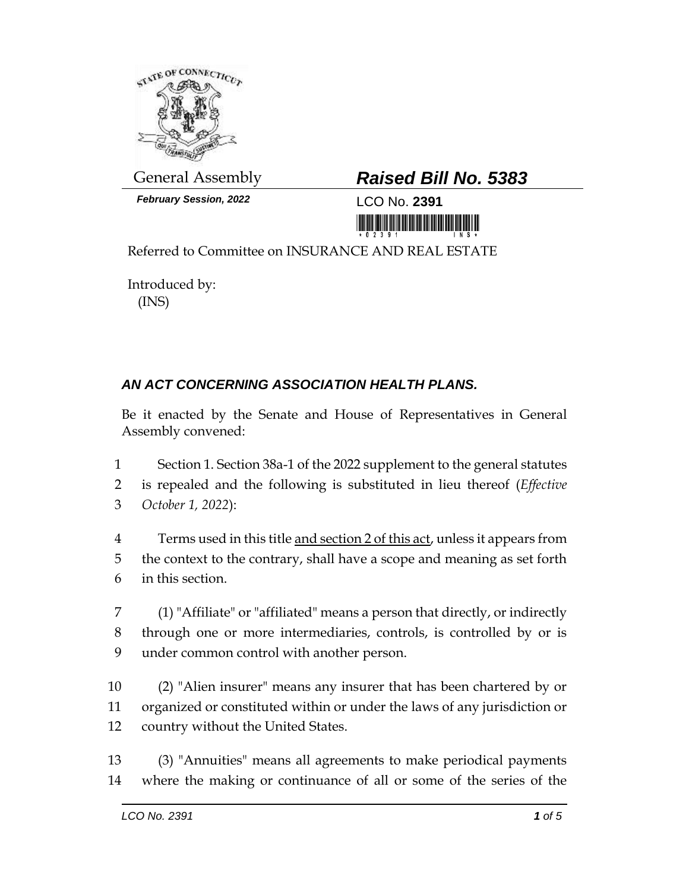

*February Session, 2022* LCO No. **2391**

## General Assembly *Raised Bill No. 5383*

<u>in ini ini mamamali ini</u>

Referred to Committee on INSURANCE AND REAL ESTATE

Introduced by: (INS)

## *AN ACT CONCERNING ASSOCIATION HEALTH PLANS.*

Be it enacted by the Senate and House of Representatives in General Assembly convened:

1 Section 1. Section 38a-1 of the 2022 supplement to the general statutes 2 is repealed and the following is substituted in lieu thereof (*Effective*  3 *October 1, 2022*):

4 Terms used in this title and section 2 of this act, unless it appears from 5 the context to the contrary, shall have a scope and meaning as set forth 6 in this section.

7 (1) "Affiliate" or "affiliated" means a person that directly, or indirectly 8 through one or more intermediaries, controls, is controlled by or is 9 under common control with another person.

10 (2) "Alien insurer" means any insurer that has been chartered by or 11 organized or constituted within or under the laws of any jurisdiction or 12 country without the United States.

13 (3) "Annuities" means all agreements to make periodical payments 14 where the making or continuance of all or some of the series of the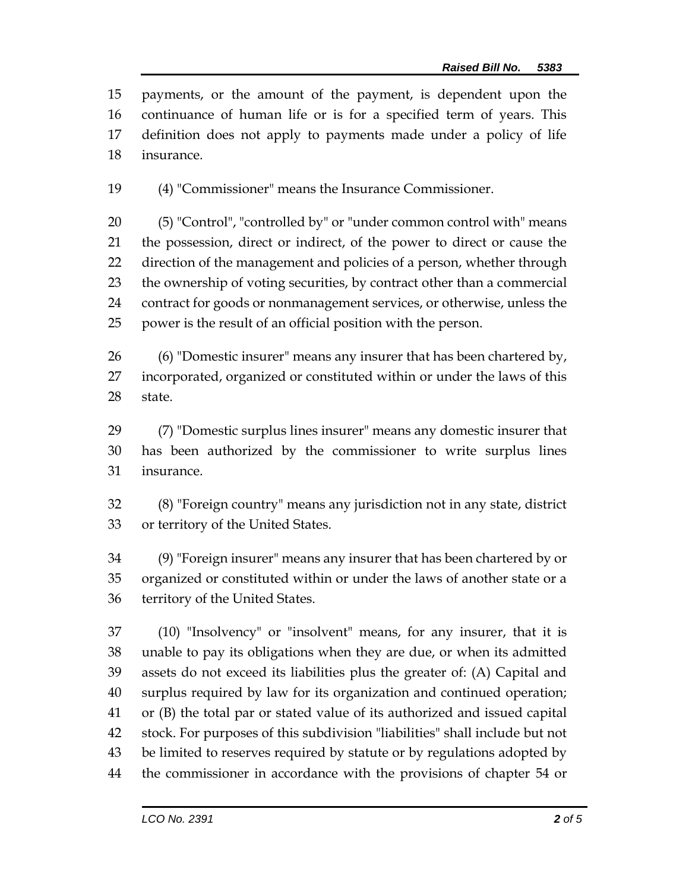payments, or the amount of the payment, is dependent upon the continuance of human life or is for a specified term of years. This definition does not apply to payments made under a policy of life insurance.

(4) "Commissioner" means the Insurance Commissioner.

 (5) "Control", "controlled by" or "under common control with" means the possession, direct or indirect, of the power to direct or cause the direction of the management and policies of a person, whether through the ownership of voting securities, by contract other than a commercial contract for goods or nonmanagement services, or otherwise, unless the power is the result of an official position with the person.

 (6) "Domestic insurer" means any insurer that has been chartered by, incorporated, organized or constituted within or under the laws of this state.

 (7) "Domestic surplus lines insurer" means any domestic insurer that has been authorized by the commissioner to write surplus lines insurance.

 (8) "Foreign country" means any jurisdiction not in any state, district or territory of the United States.

 (9) "Foreign insurer" means any insurer that has been chartered by or organized or constituted within or under the laws of another state or a territory of the United States.

 (10) "Insolvency" or "insolvent" means, for any insurer, that it is unable to pay its obligations when they are due, or when its admitted assets do not exceed its liabilities plus the greater of: (A) Capital and surplus required by law for its organization and continued operation; or (B) the total par or stated value of its authorized and issued capital stock. For purposes of this subdivision "liabilities" shall include but not be limited to reserves required by statute or by regulations adopted by the commissioner in accordance with the provisions of chapter 54 or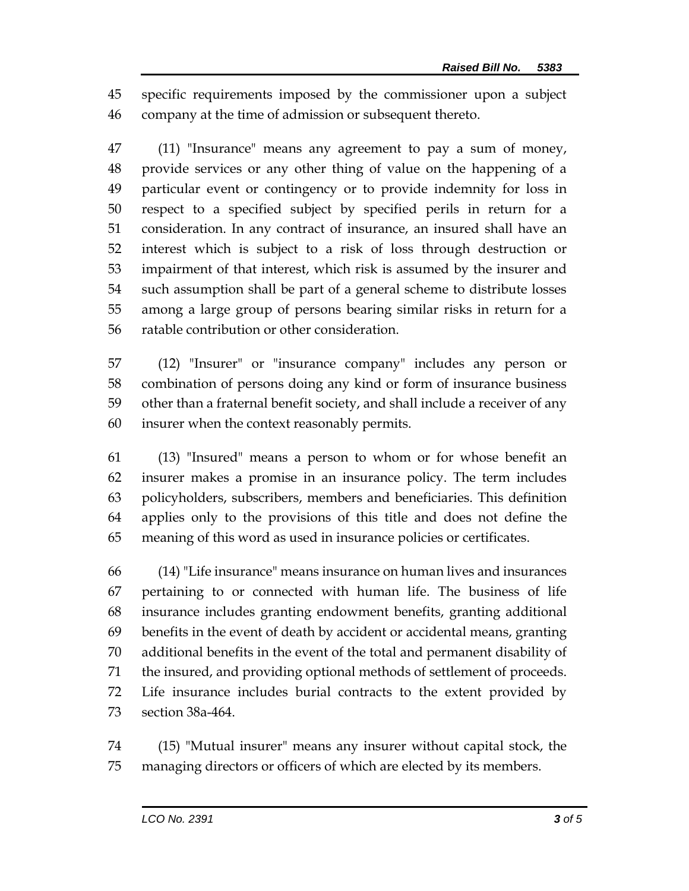specific requirements imposed by the commissioner upon a subject company at the time of admission or subsequent thereto.

 (11) "Insurance" means any agreement to pay a sum of money, provide services or any other thing of value on the happening of a particular event or contingency or to provide indemnity for loss in respect to a specified subject by specified perils in return for a consideration. In any contract of insurance, an insured shall have an interest which is subject to a risk of loss through destruction or impairment of that interest, which risk is assumed by the insurer and such assumption shall be part of a general scheme to distribute losses among a large group of persons bearing similar risks in return for a ratable contribution or other consideration.

 (12) "Insurer" or "insurance company" includes any person or combination of persons doing any kind or form of insurance business other than a fraternal benefit society, and shall include a receiver of any insurer when the context reasonably permits.

 (13) "Insured" means a person to whom or for whose benefit an insurer makes a promise in an insurance policy. The term includes policyholders, subscribers, members and beneficiaries. This definition applies only to the provisions of this title and does not define the meaning of this word as used in insurance policies or certificates.

 (14) "Life insurance" means insurance on human lives and insurances pertaining to or connected with human life. The business of life insurance includes granting endowment benefits, granting additional benefits in the event of death by accident or accidental means, granting additional benefits in the event of the total and permanent disability of the insured, and providing optional methods of settlement of proceeds. Life insurance includes burial contracts to the extent provided by section 38a-464.

 (15) "Mutual insurer" means any insurer without capital stock, the managing directors or officers of which are elected by its members.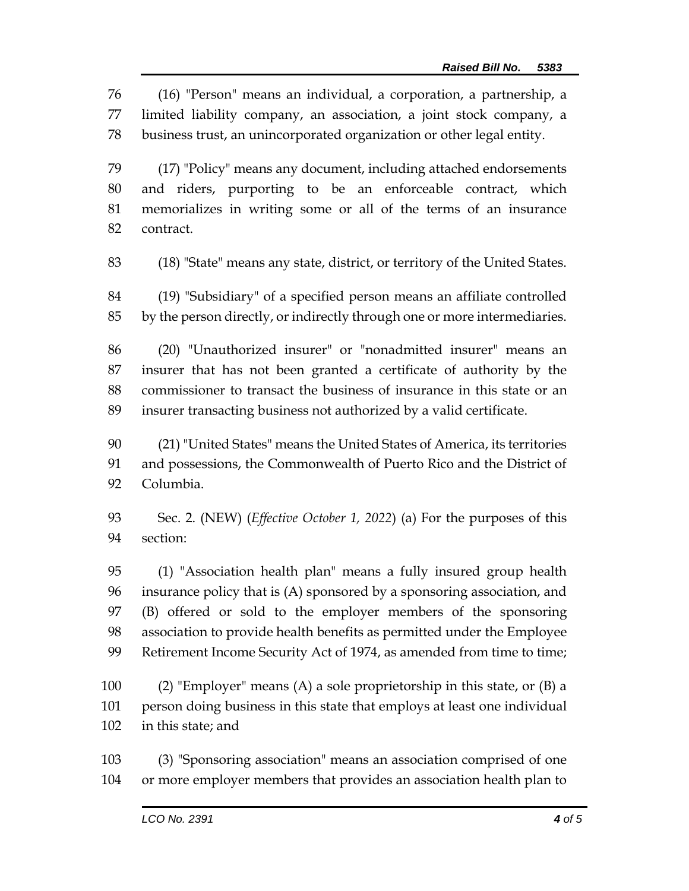(16) "Person" means an individual, a corporation, a partnership, a limited liability company, an association, a joint stock company, a business trust, an unincorporated organization or other legal entity.

 (17) "Policy" means any document, including attached endorsements and riders, purporting to be an enforceable contract, which memorializes in writing some or all of the terms of an insurance contract.

(18) "State" means any state, district, or territory of the United States.

 (19) "Subsidiary" of a specified person means an affiliate controlled by the person directly, or indirectly through one or more intermediaries.

 (20) "Unauthorized insurer" or "nonadmitted insurer" means an insurer that has not been granted a certificate of authority by the commissioner to transact the business of insurance in this state or an insurer transacting business not authorized by a valid certificate.

 (21) "United States" means the United States of America, its territories and possessions, the Commonwealth of Puerto Rico and the District of Columbia.

 Sec. 2. (NEW) (*Effective October 1, 2022*) (a) For the purposes of this section:

 (1) "Association health plan" means a fully insured group health insurance policy that is (A) sponsored by a sponsoring association, and (B) offered or sold to the employer members of the sponsoring association to provide health benefits as permitted under the Employee 99 Retirement Income Security Act of 1974, as amended from time to time;

 (2) "Employer" means (A) a sole proprietorship in this state, or (B) a person doing business in this state that employs at least one individual in this state; and

 (3) "Sponsoring association" means an association comprised of one or more employer members that provides an association health plan to